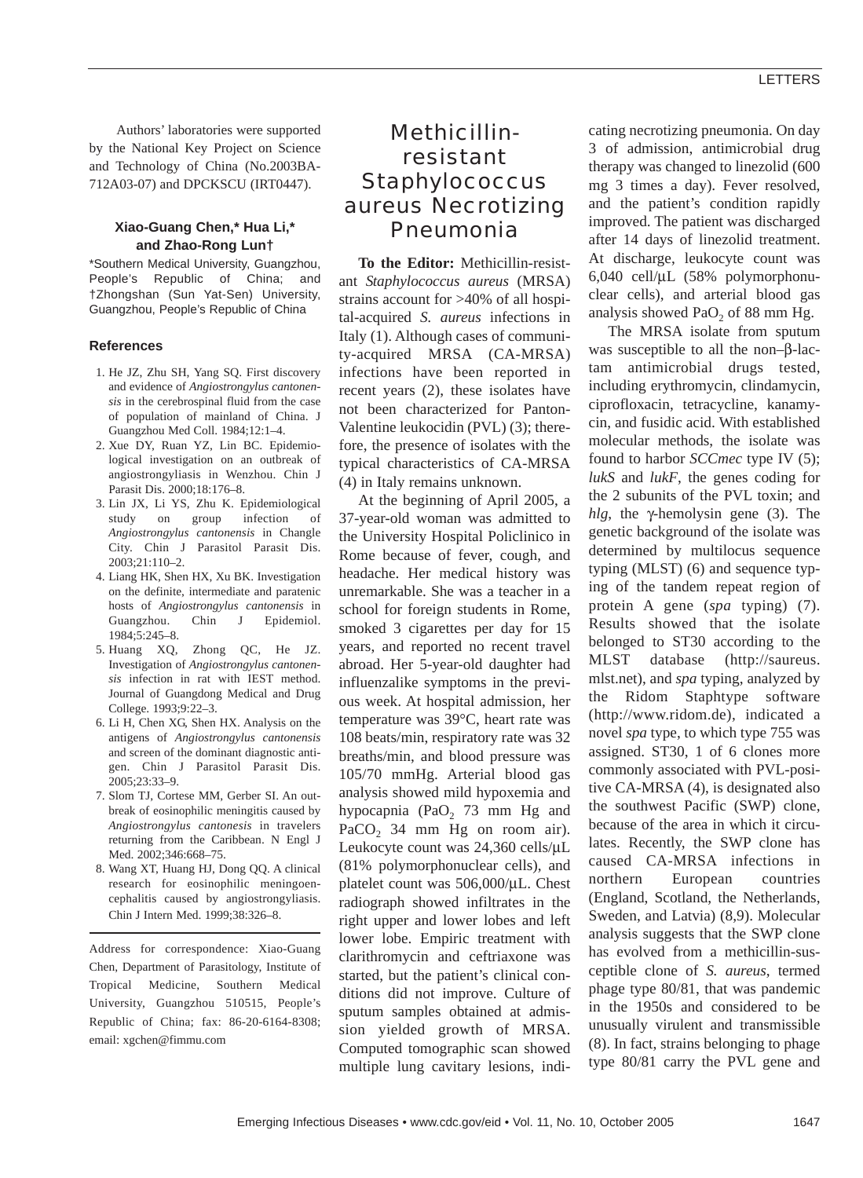Authors' laboratories were supported by the National Key Project on Science and Technology of China (No.2003BA-712A03-07) and DPCKSCU (IRT0447).

### **Xiao-Guang Chen,\* Hua Li,\* and Zhao-Rong Lun†**

\*Southern Medical University, Guangzhou, People's Republic of China; and †Zhongshan (Sun Yat-Sen) University, Guangzhou, People's Republic of China

#### **References**

- 1. He JZ, Zhu SH, Yang SQ. First discovery and evidence of *Angiostrongylus cantonensis* in the cerebrospinal fluid from the case of population of mainland of China. J Guangzhou Med Coll. 1984;12:1–4.
- 2. Xue DY, Ruan YZ, Lin BC. Epidemiological investigation on an outbreak of angiostrongyliasis in Wenzhou. Chin J Parasit Dis. 2000;18:176–8.
- 3. Lin JX, Li YS, Zhu K. Epidemiological study on group infection of *Angiostrongylus cantonensis* in Changle City. Chin J Parasitol Parasit Dis. 2003;21:110–2.
- 4. Liang HK, Shen HX, Xu BK. Investigation on the definite, intermediate and paratenic hosts of *Angiostrongylus cantonensis* in Guangzhou. Chin J Epidemiol. 1984;5:245–8.
- 5. Huang XQ, Zhong QC, He JZ. Investigation of *Angiostrongylus cantonensis* infection in rat with IEST method. Journal of Guangdong Medical and Drug College. 1993;9:22–3.
- 6. Li H, Chen XG, Shen HX. Analysis on the antigens of *Angiostrongylus cantonensis* and screen of the dominant diagnostic antigen. Chin J Parasitol Parasit Dis. 2005;23:33–9.
- 7. Slom TJ, Cortese MM, Gerber SI. An outbreak of eosinophilic meningitis caused by *Angiostrongylus cantonesis* in travelers returning from the Caribbean. N Engl J Med. 2002;346:668–75.
- 8. Wang XT, Huang HJ, Dong QQ. A clinical research for eosinophilic meningoencephalitis caused by angiostrongyliasis. Chin J Intern Med. 1999;38:326–8.

Address for correspondence: Xiao-Guang Chen, Department of Parasitology, Institute of Tropical Medicine, Southern Medical University, Guangzhou 510515, People's Republic of China; fax: 86-20-6164-8308; email: xgchen@fimmu.com

# Methicillinresistant *Staphylococcus aureus* Necrotizing Pneumonia

**To the Editor:** Methicillin-resistant *Staphylococcus aureus* (MRSA) strains account for >40% of all hospital-acquired *S. aureus* infections in Italy (1). Although cases of community-acquired MRSA (CA-MRSA) infections have been reported in recent years (2), these isolates have not been characterized for Panton-Valentine leukocidin (PVL) (3); therefore, the presence of isolates with the typical characteristics of CA-MRSA (4) in Italy remains unknown.

At the beginning of April 2005, a 37-year-old woman was admitted to the University Hospital Policlinico in Rome because of fever, cough, and headache. Her medical history was unremarkable. She was a teacher in a school for foreign students in Rome, smoked 3 cigarettes per day for 15 years, and reported no recent travel abroad. Her 5-year-old daughter had influenzalike symptoms in the previous week. At hospital admission, her temperature was 39°C, heart rate was 108 beats/min, respiratory rate was 32 breaths/min, and blood pressure was 105/70 mmHg. Arterial blood gas analysis showed mild hypoxemia and hypocapnia (PaO<sub>2</sub> 73 mm Hg and PaCO<sub>2</sub> 34 mm Hg on room air). Leukocyte count was 24,360 cells/µL (81% polymorphonuclear cells), and platelet count was 506,000/µL. Chest radiograph showed infiltrates in the right upper and lower lobes and left lower lobe. Empiric treatment with clarithromycin and ceftriaxone was started, but the patient's clinical conditions did not improve. Culture of sputum samples obtained at admission yielded growth of MRSA. Computed tomographic scan showed multiple lung cavitary lesions, indicating necrotizing pneumonia. On day 3 of admission, antimicrobial drug therapy was changed to linezolid (600 mg 3 times a day). Fever resolved, and the patient's condition rapidly improved. The patient was discharged after 14 days of linezolid treatment. At discharge, leukocyte count was 6,040 cell/µL (58% polymorphonuclear cells), and arterial blood gas analysis showed PaO<sub>2</sub> of 88 mm Hg.

The MRSA isolate from sputum was susceptible to all the non–β-lactam antimicrobial drugs tested, including erythromycin, clindamycin, ciprofloxacin, tetracycline, kanamycin, and fusidic acid. With established molecular methods, the isolate was found to harbor *SCCmec* type IV (5); *lukS* and *lukF*, the genes coding for the 2 subunits of the PVL toxin; and *hlg*, the γ-hemolysin gene (3). The genetic background of the isolate was determined by multilocus sequence typing (MLST) (6) and sequence typing of the tandem repeat region of protein A gene (*spa* typing) (7). Results showed that the isolate belonged to ST30 according to the MLST database (http://saureus. mlst.net), and *spa* typing, analyzed by the Ridom Staphtype software (http://www.ridom.de), indicated a novel *spa* type, to which type 755 was assigned. ST30, 1 of 6 clones more commonly associated with PVL-positive CA-MRSA (4), is designated also the southwest Pacific (SWP) clone, because of the area in which it circulates. Recently, the SWP clone has caused CA-MRSA infections in northern European countries (England, Scotland, the Netherlands, Sweden, and Latvia) (8,9). Molecular analysis suggests that the SWP clone has evolved from a methicillin-susceptible clone of *S. aureus*, termed phage type 80/81, that was pandemic in the 1950s and considered to be unusually virulent and transmissible (8). In fact, strains belonging to phage type 80/81 carry the PVL gene and